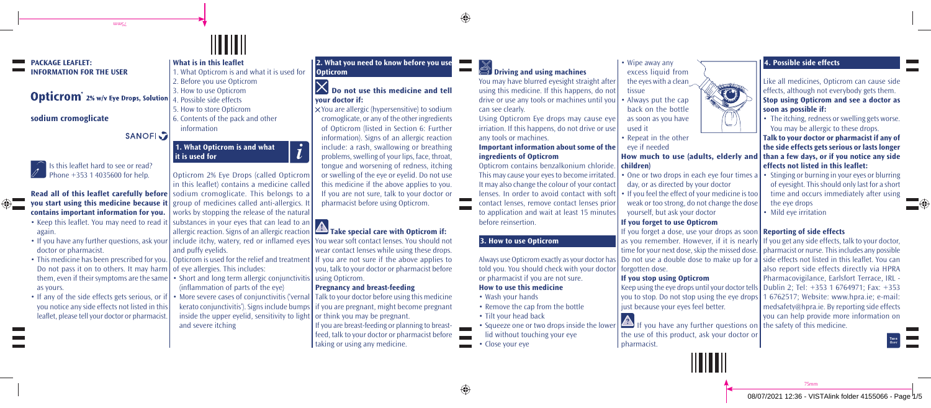⊕



## **Opticrom**<sup>2%</sup> w/v Eye Drops, Solution

ums/

#### **sodium cromoglicate**

 $\circ$ 

SANOFI<sub>2</sub>



# **contains important information for you.**

- Keep this leaflet. You may need to read it again.
- doctor or pharmacist.
- This medicine has been prescribed for you. Opticrom is used for the relief and treatment If you are not sure if the above applies to Do not pass it on to others. It may harm  $\vert$  of eye allergies. This includes: them, even if their symptoms are the same as yours.
- If any of the side effects gets serious, or if you notice any side effects not listed in this leaflet, please tell your doctor or pharmacist.

#### **What is in this leaflet**  1. What Opticrom is and what it is used for 2. Before you use Opticrom 3. How to use Opticrom 4. Possible side effects

5. How to store Opticrom 6. Contents of the pack and other information

#### **1. What Opticrom is and what it is used for**

**Read all of this leaflet carefully before** sodium cromoglicate. This belongs to a **you start using this medicine because it**  group of medicines called anti-allergics. It Opticrom 2% Eye Drops (called Opticrom In this leaflet) contains a medicine called works by stopping the release of the natural

 $\boldsymbol{i}$ 

- substances in your eyes that can lead to an allergic reaction. Signs of an allergic reaction
- If you have any further questions, ask your | include itchy, watery, red or inflamed eyes and puffy evelids.
	- Short and long term allergic conjunctivitis | using Opticrom.
		- (inflammation of parts of the eye) • More severe cases of conjunctivitis ('vernal
		- kerato conjunctivitis'). Signs include bumps if you are pregnant, might become pregnant inside the upper eyelid, sensitivity to light  $\vert$  or think you may be pregnant. and severe itching

#### **2. What you need to know before you use Opticrom**

# **Do not use this medicine and tell your doctor if:**

 You are allergic (hypersensitive) to sodium cromoglicate, or any of the other ingredients of Opticrom (listed in Section 6: Further information). Signs of an allergic reaction include: a rash, swallowing or breathing problems, swelling of your lips, face, throat, tongue and worsening of redness, itching or swelling of the eye or eyelid. Do not use this medicine if the above applies to you. If you are not sure, talk to your doctor or pharmacist before using Opticrom.

#### **Take special care with Opticrom if:**

You wear soft contact lenses. You should not wear contact lenses while using these drops. you, talk to your doctor or pharmacist before

#### **Pregnancy and breast-feeding**

Talk to your doctor before using this medicine

If you are breast-feeding or planning to breastfeed, talk to your doctor or pharmacist before taking or using any medicine.

### **<sup>2</sup>** Driving and using machines

You may have blurred eyesight straight after using this medicine. If this happens, do not drive or use any tools or machines until you can see clearly.

Using Opticrom Eye drops may cause eye irriation. If this happens, do not drive or use any tools or machines.

**Important information about some of the ingredients of Opticrom**

Opticrom contains benzalkonium chloride. **children)** This may cause your eyes to become irritated. It may also change the colour of your contact lenses. In order to avoid contact with soft contact lenses, remove contact lenses prior to application and wait at least 15 minutes before reinsertion.

#### **3. How to use Opticrom**

Always use Opticrom exactly as your doctor has told you. You should check with your doctor or pharmacist if you are not sure. **How to use this medicine**

#### • Wash your hands

- Remove the cap from the bottle
- Tilt your head back
- Squeeze one or two drops inside the lower lid without touching your eye
- Close your eye

#### • Wipe away any excess liquid from the eyes with a clean tissue

• Always put the cap back on the bottle as soon as you have used it

• Repeat in the other

eye if needed

- One or two drops in each eye four times a day, or as directed by your doctor
- If you feel the effect of your medicine is too weak or too strong, do not change the dose
- yourself, but ask your doctor **If you forget to use Opticrom**

If you forget a dose, use your drops as soon **Reporting of side effects**  as you remember. However, if it is nearly If you get any side effects, talk to your doctor,

#### **If you stop using Opticrom**

Keep using the eye drops until your doctor tells | Dublin 2; Tel:  $+353$  1 6764971; Fax:  $+353$ you to stop. Do not stop using the eye drops 1 6762517; Website: www.hpra.ie; e-mail: just because your eyes feel better.

If you have any further questions on  $\vert$  the safety of this medicine. the use of this product, ask your doctor or pharmacist.

forgotten dose.

#### **4. Possible side effects**



Like all medicines, Opticrom can cause side effects, although not everybody gets them. **Stop using Opticrom and see a doctor as soon as possible if:** 

• The itching, redness or swelling gets worse. You may be allergic to these drops.

**How much to use (adults, elderly and than a few days, or if you notice any side Talk to your doctor or pharmacist if any of the side effects gets serious or lasts longer effects not listed in this leaflet:** 

- Stinging or burning in your eyes or blurring of eyesight. This should only last for a short time and occurs immediately after using the eye drops
- Mild eve irritation

time for your next dose, skip the missed dose. pharmacist or nurse. This includes any possible Do not use a double dose to make up for a side effects not listed in this leaflet. You can also report side effects directly via HPRA Pharmacovigilance, Earlsfort Terrace, IRL medsafety@hpra.ie. By reporting side effects you can help provide more information on

75mm

◈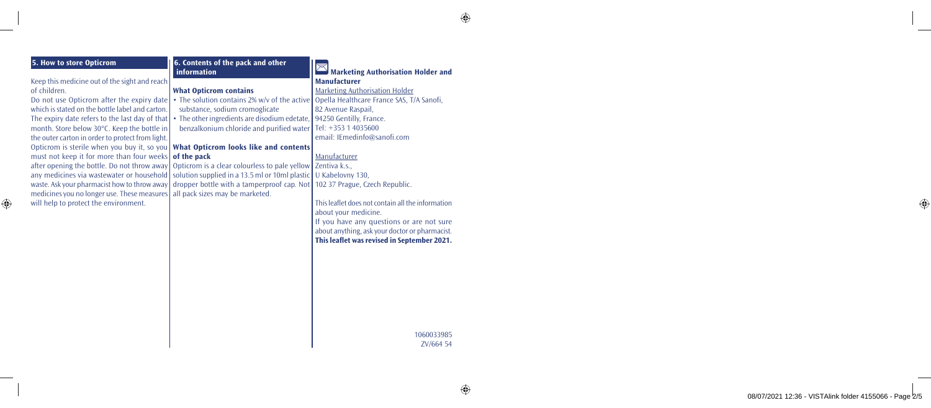$\bigoplus$ 

| <b>5. How to store Opticrom</b>                  | 6. Contents of the pack and other<br>information | Marketing Authorisation Holder and                |
|--------------------------------------------------|--------------------------------------------------|---------------------------------------------------|
| Keep this medicine out of the sight and reach    |                                                  | <b>Manufacturer</b>                               |
| of children.                                     | <b>What Opticrom contains</b>                    | <b>Marketing Authorisation Holder</b>             |
| Do not use Opticrom after the expiry date        | • The solution contains 2% w/y of the active     | Opella Healthcare France SAS, T/A Sanofi,         |
| which is stated on the bottle label and carton.  | substance, sodium cromoglicate                   | 82 Avenue Raspail,                                |
| The expiry date refers to the last day of that   | • The other ingredients are disodium edetate,    | 94250 Gentilly, France.                           |
| month. Store below 30°C. Keep the bottle in      | benzalkonium chloride and purified water         | Tel: +353 1 4035600                               |
| the outer carton in order to protect from light. |                                                  | email: IEmedinfo@sanofi.com                       |
| Opticrom is sterile when you buy it, so you      | What Opticrom looks like and contents            |                                                   |
| must not keep it for more than four weeks        | of the pack                                      | Manufacturer                                      |
| after opening the bottle. Do not throw away      | Opticrom is a clear colourless to pale yellow    | Zentiva k.s.,                                     |
| any medicines via wastewater or household        | solution supplied in a 13.5 ml or 10ml plastic   | U Kabelovny 130,                                  |
| waste. Ask your pharmacist how to throw away     | dropper bottle with a tamperproof cap. Not       | 102 37 Prague, Czech Republic.                    |
| medicines you no longer use. These measures      | all pack sizes may be marketed.                  |                                                   |
| will help to protect the environment.            |                                                  | This leaflet does not contain all the information |
|                                                  |                                                  | about your medicine.                              |
|                                                  |                                                  | If you have any questions or are not sure         |
|                                                  |                                                  | about anything, ask your doctor or pharmacist.    |
|                                                  |                                                  | This leaflet was revised in September 2021.       |
|                                                  |                                                  |                                                   |
|                                                  |                                                  |                                                   |
|                                                  |                                                  |                                                   |
|                                                  |                                                  |                                                   |
|                                                  |                                                  |                                                   |
|                                                  |                                                  |                                                   |
|                                                  |                                                  |                                                   |
|                                                  |                                                  |                                                   |
|                                                  |                                                  | 1060033985                                        |
|                                                  |                                                  | ZV/664 54                                         |

 $\bigoplus$ 

 $\bigoplus$